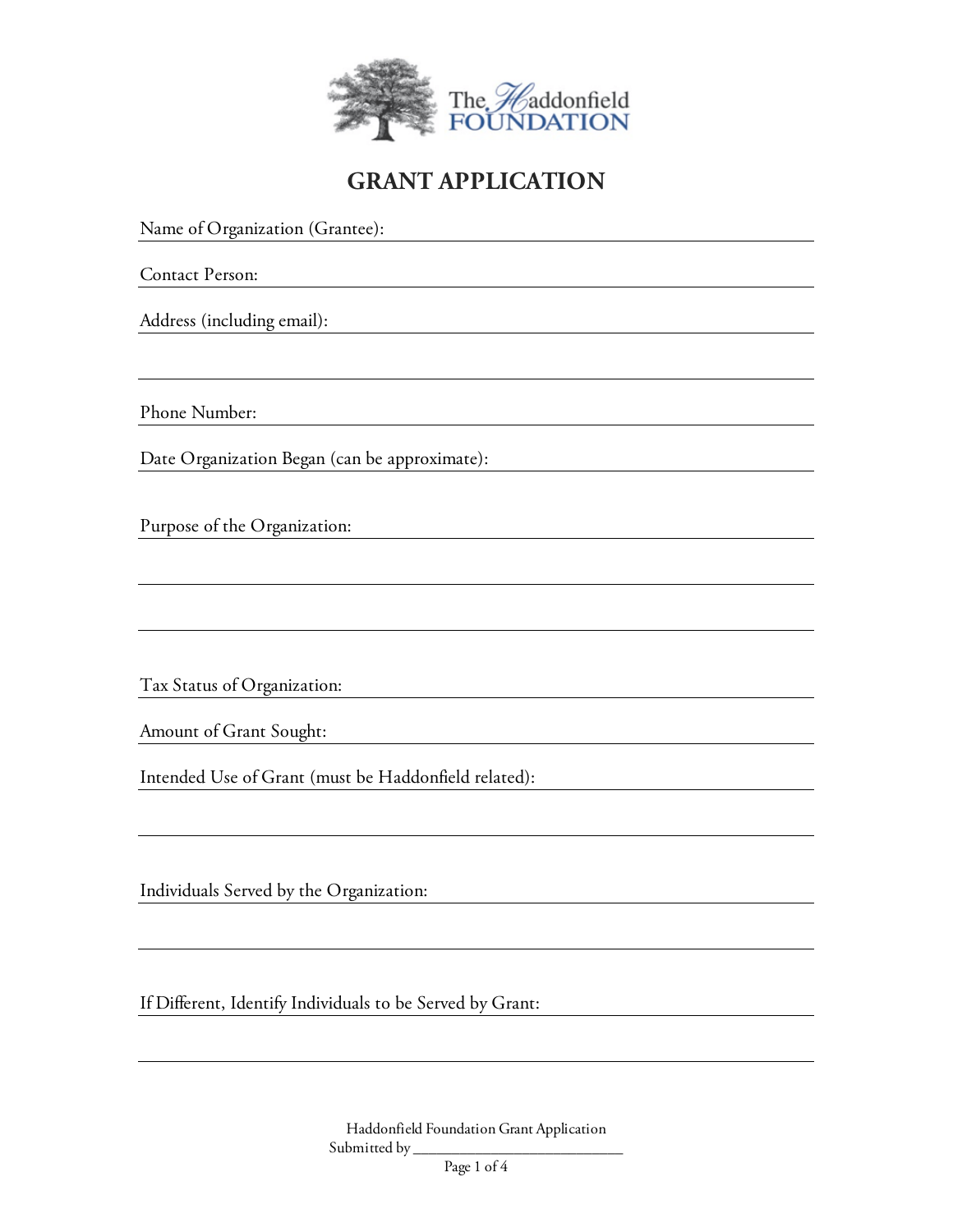

## **GRANT APPLICATION**

Name of Organization (Grantee): Contact Person: Address (including email): Phone Number: Date Organization Began (can be approximate): Purpose of the Organization: <u> 1980 - Johann Barnett, fransk politik (f. 1980)</u> Tax Status of Organization: Amount of Grant Sought: Intended Use of Grant (must be Haddonfield related): Individuals Served by the Organization:

If Different, Identify Individuals to be Served by Grant: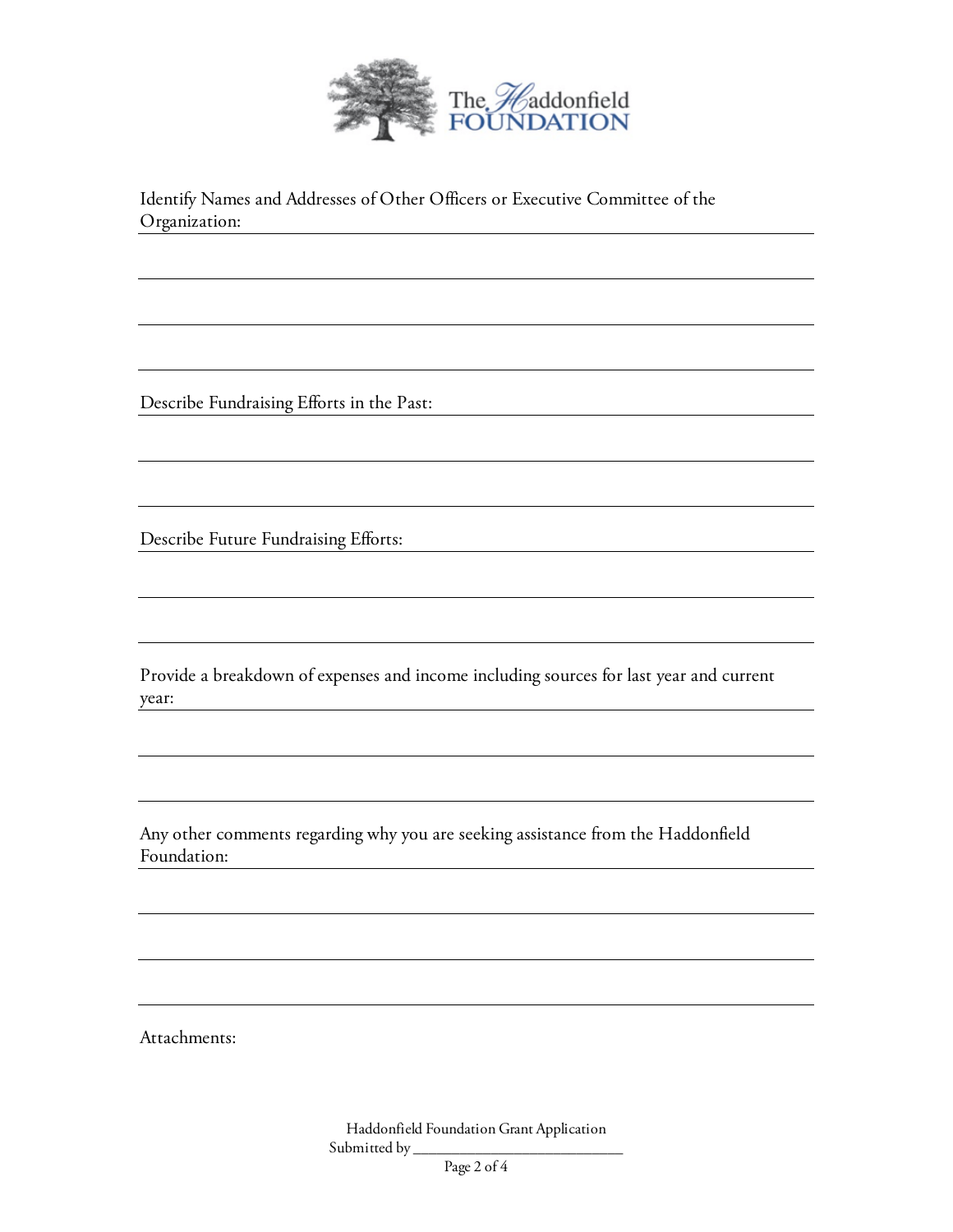

Identify Names and Addresses of Other Officers or Executive Committee of the Organization:

Describe Fundraising Efforts in the Past:

Describe Future Fundraising Efforts:

Provide a breakdown of expenses and income including sources for last year and current year:

Any other comments regarding why you are seeking assistance from the Haddonfield Foundation:

Attachments: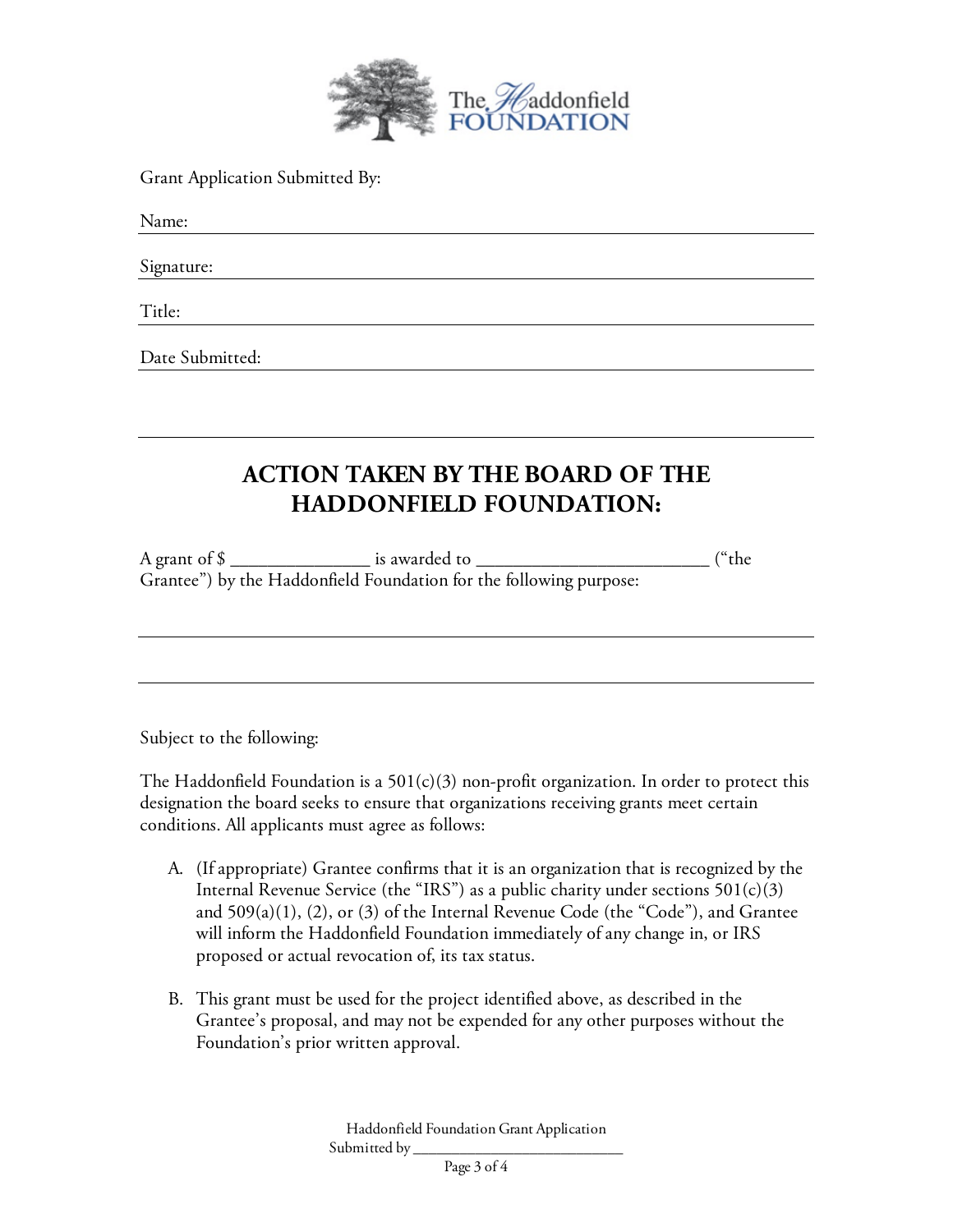

Grant Application Submitted By:

Name:

Signature:

Title:

Date Submitted:

## **ACTION TAKEN BY THE BOARD OF THE HADDONFIELD FOUNDATION:**

A grant of \$ \_\_\_\_\_\_\_\_\_\_\_\_\_\_\_ is awarded to \_\_\_\_\_\_\_\_\_\_\_\_\_\_\_\_\_\_\_\_\_\_\_\_\_ ("the Grantee") by the Haddonfield Foundation for the following purpose:

Subject to the following:

The Haddonfield Foundation is a  $501(c)(3)$  non-profit organization. In order to protect this designation the board seeks to ensure that organizations receiving grants meet certain conditions. All applicants must agree as follows:

- A. (If appropriate) Grantee confirms that it is an organization that is recognized by the Internal Revenue Service (the "IRS") as a public charity under sections  $501(c)(3)$ and  $509(a)(1)$ ,  $(2)$ , or  $(3)$  of the Internal Revenue Code (the "Code"), and Grantee will inform the Haddonfield Foundation immediately of any change in, or IRS proposed or actual revocation of, its tax status.
- B. This grant must be used for the project identified above, as described in the Grantee's proposal, and may not be expended for any other purposes without the Foundation's prior written approval.